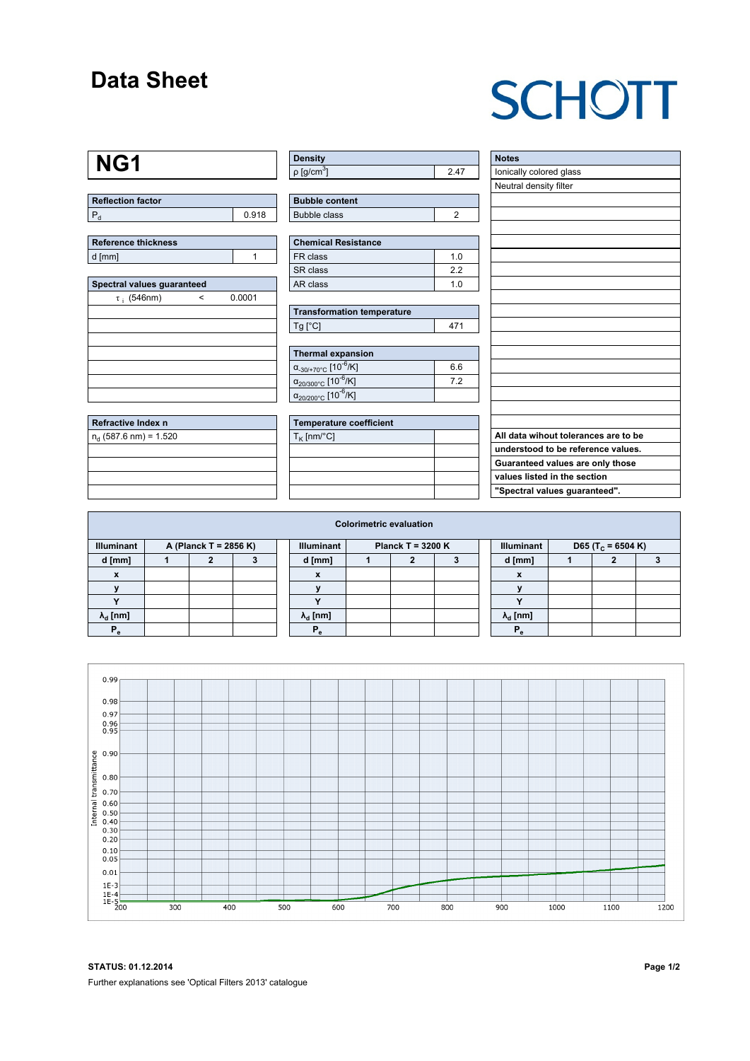## **Data Sheet**

## **SCHOTT**

## **NG1**

**Refractive Index n** n<sub>d</sub> (587.6 nm) = 1.520

**Reflection factor**  $P_d$  0.918

| Reference thickness |  |
|---------------------|--|
| d [mm]              |  |
|                     |  |

| Spectral values guaranteed |        |  |  |  |  |  |  |  |  |
|----------------------------|--------|--|--|--|--|--|--|--|--|
| $\tau_{i}$ (546nm)         | 0.0001 |  |  |  |  |  |  |  |  |
|                            |        |  |  |  |  |  |  |  |  |
|                            |        |  |  |  |  |  |  |  |  |
|                            |        |  |  |  |  |  |  |  |  |
|                            |        |  |  |  |  |  |  |  |  |
|                            |        |  |  |  |  |  |  |  |  |
|                            |        |  |  |  |  |  |  |  |  |
|                            |        |  |  |  |  |  |  |  |  |

| Density                  |      |
|--------------------------|------|
| $p$ [g/cm <sup>3</sup> ] | 2 47 |
|                          |      |

**Bubble content** Bubble class 2

| <b>Chemical Resistance</b> |     |  |  |  |  |  |  |
|----------------------------|-----|--|--|--|--|--|--|
| FR class                   | 1 በ |  |  |  |  |  |  |
| SR class                   | 22  |  |  |  |  |  |  |
| AR class                   | 1 በ |  |  |  |  |  |  |

**Transformation temperature**  $\boxed{\mathsf{Tg} \, [^{\circ}\mathsf{C}]}$  471

| Thermal expansion                                 |     |
|---------------------------------------------------|-----|
| $\alpha_{-30/+70\degree}$ C [10 <sup>-6</sup> /K] | 6.6 |
| $\alpha_{20/300^{\circ}C}$ [10 <sup>-6</sup> /K]  | 72  |
| $\alpha_{20/200^{\circ}C}$ [10 <sup>-6</sup> /K]  |     |

| Temperature coefficient |  |
|-------------------------|--|
| $T_{\rm K}$ [nm/°C]     |  |
|                         |  |
|                         |  |
|                         |  |
|                         |  |

| <b>Notes</b>                         |
|--------------------------------------|
| lonically colored glass              |
| Neutral density filter               |
|                                      |
|                                      |
|                                      |
|                                      |
|                                      |
|                                      |
|                                      |
|                                      |
|                                      |
|                                      |
|                                      |
|                                      |
|                                      |
|                                      |
|                                      |
|                                      |
|                                      |
| All data wihout tolerances are to be |
| understood to be reference values.   |
| Guaranteed values are only those     |
| values listed in the section         |
| "Spectral values guaranteed".        |

| <b>Colorimetric evaluation</b>             |  |  |  |  |                                          |  |  |  |        |                           |                               |  |  |  |
|--------------------------------------------|--|--|--|--|------------------------------------------|--|--|--|--------|---------------------------|-------------------------------|--|--|--|
| A (Planck T = 2856 K)<br><b>Illuminant</b> |  |  |  |  | Planck T = 3200 $K$<br><b>Illuminant</b> |  |  |  |        | <b>Illuminant</b>         | D65 (T <sub>c</sub> = 6504 K) |  |  |  |
| d [mm]                                     |  |  |  |  | d [mm]                                   |  |  |  | d [mm] |                           |                               |  |  |  |
| $\mathbf{x}$                               |  |  |  |  | X                                        |  |  |  |        | $\boldsymbol{\mathsf{x}}$ |                               |  |  |  |
|                                            |  |  |  |  |                                          |  |  |  |        |                           |                               |  |  |  |
|                                            |  |  |  |  |                                          |  |  |  |        |                           |                               |  |  |  |
| $\lambda_{\rm d}$ [nm]                     |  |  |  |  | $\lambda_{\rm d}$ [nm]                   |  |  |  |        | $\lambda_{d}$ [nm]        |                               |  |  |  |
| $P_{\alpha}$                               |  |  |  |  | $P_{\alpha}$                             |  |  |  |        | $P_{\alpha}$              |                               |  |  |  |